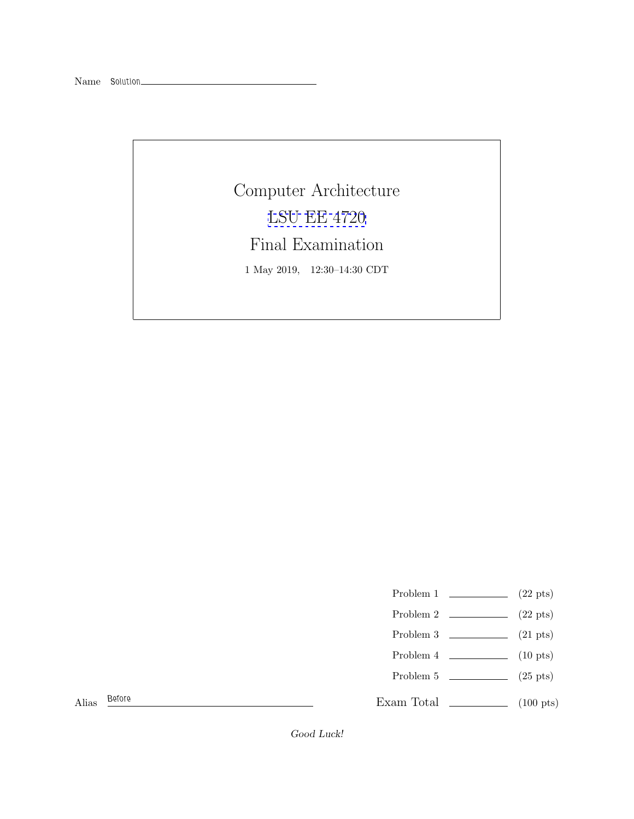Computer Architecture [LSU EE 4720](https://www.ece.lsu.edu/ee4720/) Final Examination 1 May 2019, 12:30–14:30 CDT

Problem 1  $\qquad \qquad$  (22 pts)

- Problem 2  $\qquad \qquad$  (22 pts)
- Problem 3  $\qquad \qquad (21 \text{ pts})$
- Problem 4  $\qquad \qquad$  (10 pts)
- Problem 5 (25 pts)

Alias Before

Exam Total \_\_\_\_\_\_\_\_\_\_\_\_\_ (100 pts)

Good Luck!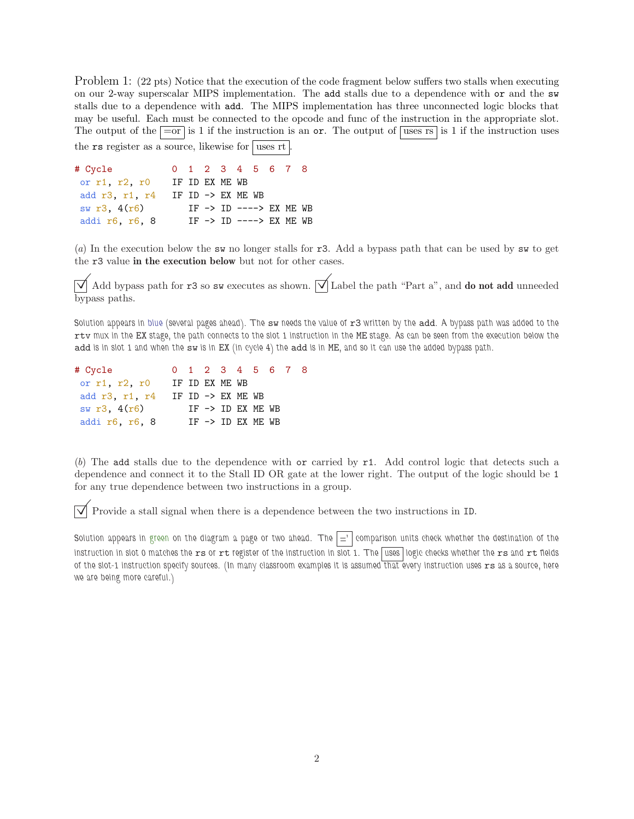Problem 1: (22 pts) Notice that the execution of the code fragment below suffers two stalls when executing on our 2-way superscalar MIPS implementation. The add stalls due to a dependence with or and the sw stalls due to a dependence with add. The MIPS implementation has three unconnected logic blocks that may be useful. Each must be connected to the opcode and func of the instruction in the appropriate slot. The output of the  $\equiv$ or is 1 if the instruction is an or. The output of uses rs is 1 if the instruction uses the rs register as a source, likewise for uses rt

| # Cycle                |  | 0 1 2 3 4 5 6 7 8                               |  |  |  |
|------------------------|--|-------------------------------------------------|--|--|--|
| or $r1$ , $r2$ , $r0$  |  | IF ID EX ME WB                                  |  |  |  |
| add $r3$ , $r1$ , $r4$ |  | IF ID $\rightarrow$ EX ME WB                    |  |  |  |
| sw $r3, 4(r6)$         |  | IF $\rightarrow$ ID $\leftarrow$ ---> EX ME WB  |  |  |  |
| addi r6, r6, 8         |  | IF $\rightarrow$ ID $\rightarrow$ ---> EX ME WB |  |  |  |

(a) In the execution below the sw no longer stalls for r3. Add a bypass path that can be used by sw to get the r3 value in the execution below but not for other cases.

 $\overline{\bigvee}$  Add bypass path for r3 so sw executes as shown.  $\overline{\bigvee}$  Label the path "Part a", and **do not add** unneeded bypass paths.

Solution appears in blue (several pages ahead). The sw needs the value of x3 written by the add. A bypass path was added to the rtv mux in the EX stage, the path connects to the slot 1 instruction in the ME stage. As can be seen from the execution below the add is in slot 1 and when the sw is in EX (in cycle 4) the add is in ME, and so it can use the added bypass path.

| # Cycle                |  |                   | 0 1 2 3 4 5 6 7 8            |  |  |
|------------------------|--|-------------------|------------------------------|--|--|
| or $r1$ , $r2$ , $r0$  |  | IF ID EX ME WB    |                              |  |  |
| add $r3$ , $r1$ , $r4$ |  | IF ID -> EX ME WB |                              |  |  |
| sw $r3, 4(r6)$         |  |                   | IF $\rightarrow$ ID EX ME WB |  |  |
| addi r6, r6, 8         |  |                   | IF $\rightarrow$ ID EX ME WB |  |  |

(b) The add stalls due to the dependence with or carried by r1. Add control logic that detects such a dependence and connect it to the Stall ID OR gate at the lower right. The output of the logic should be 1 for any true dependence between two instructions in a group.

Provide a stall signal when there is a dependence between the two instructions in ID.

Solution appears in green on the diagram a page or two ahead. The  $|=$ ' comparison units check whether the destination of the instruction in slot 0 matches the  $rs$  or  $rt$  register of the instruction in slot 1. The uses logic checks whether the  $rs$  and  $rt$  fields of the slot-1 instruction specify sources. (In many classroom examples it is assumed that every instruction uses  $rs$  as a source, here we are being more careful.)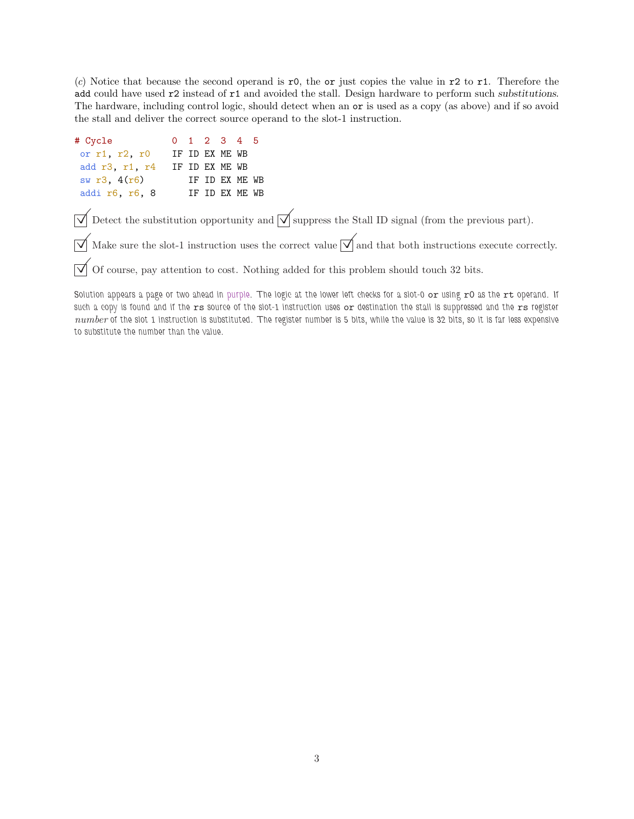(c) Notice that because the second operand is  $\tau$ 0, the or just copies the value in  $\tau$ 2 to  $\tau$ 1. Therefore the add could have used r2 instead of r1 and avoided the stall. Design hardware to perform such substitutions. The hardware, including control logic, should detect when an or is used as a copy (as above) and if so avoid the stall and deliver the correct source operand to the slot-1 instruction.

| # Cycle               |  | $0 \t1 \t2 \t3 \t4 \t5$ |  |
|-----------------------|--|-------------------------|--|
| or $r1$ , $r2$ , $r0$ |  | IF ID EX ME WB          |  |
| add r3, r1, r4        |  | IF ID EX ME WB          |  |
| sw $r3, 4(r6)$        |  | TF TD FX MF. WB         |  |
| addi r6, r6, 8        |  | TF TD FX MF. WB         |  |

 $\sqrt{\frac{1}{\sqrt{\pi}}}$  Detect the substitution opportunity and  $\sqrt{\frac{1}{\sqrt{\pi}}}$  suppress the Stall ID signal (from the previous part).

 $\overline{\bigvee}$  Make sure the slot-1 instruction uses the correct value  $\overline{\bigvee}$  and that both instructions execute correctly.

Of course, pay attention to cost. Nothing added for this problem should touch 32 bits.

Solution appears a page or two ahead in purple. The logic at the lower left checks for a slot-0 or using r0 as the rt operand. If such a copy is found and if the rs source of the slot-1 instruction uses or destination the stall is suppressed and the rs register number of the slot 1 instruction is substituted. The register number is 5 bits, while the value is 32 bits, so it is far less expensive to substitute the number than the value.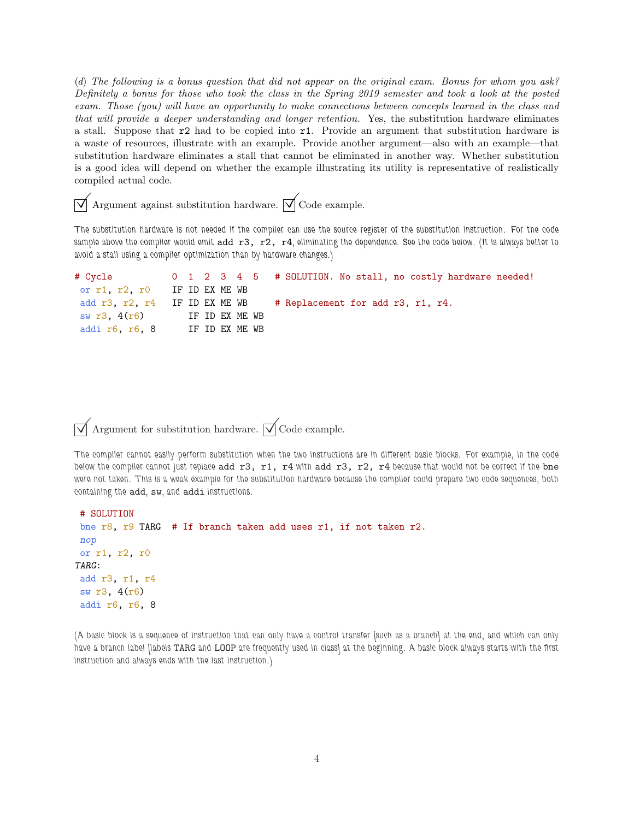(d) The following is a bonus question that did not appear on the original exam. Bonus for whom you ask? Definitely a bonus for those who took the class in the Spring 2019 semester and took a look at the posted exam. Those (you) will have an opportunity to make connections between concepts learned in the class and that will provide a deeper understanding and longer retention. Yes, the substitution hardware eliminates a stall. Suppose that r2 had to be copied into r1. Provide an argument that substitution hardware is a waste of resources, illustrate with an example. Provide another argument—also with an example—that substitution hardware eliminates a stall that cannot be eliminated in another way. Whether substitution is a good idea will depend on whether the example illustrating its utility is representative of realistically compiled actual code.

Argument against substitution hardware.  $\overrightarrow{\bigvee}$  Code example.

The substitution hardware is not needed if the compiler can use the source register of the substitution instruction. For the code sample above the compiler would emit add  $r3$ ,  $r2$ ,  $r4$ , eliminating the dependence. See the code below. (It is always better to avoid a stall using a compiler optimization than by hardware changes.)

| # Cycle                                                            |  |                |  | 0 1 2 3 4 5 # SOLUTION. No stall, no costly hardware needed! |  |  |  |
|--------------------------------------------------------------------|--|----------------|--|--------------------------------------------------------------|--|--|--|
| or r1, r2, r0 IF ID EX ME WB                                       |  |                |  |                                                              |  |  |  |
| add r3, r2, r4 IF ID EX ME WB $\#$ Replacement for add r3, r1, r4. |  |                |  |                                                              |  |  |  |
| $sw r3$ , $4(r6)$ IF ID EX ME WB                                   |  |                |  |                                                              |  |  |  |
| addi r6, r6, 8                                                     |  | IF ID EX ME WB |  |                                                              |  |  |  |

 $\boxed{\bigvee}$  Argument for substitution hardware.  $\boxed{\bigvee}$  Code example.

The compiler cannot easily perform substitution when the two instructions are in different basic blocks. For example, in the code below the compiler cannot just replace  $add r3, r1, r4$  with  $add r3, r2, r4$  because that would not be correct if the bne were not taken. This is a weak example for the substitution hardware because the compiler could prepare two code sequences, both containing the add, sw, and addi instructions.

```
# SOLUTION
bne r8, r9 TARG # If branch taken add uses r1, if not taken r2.
nop
or r1, r2, r0
TARG:
add r3, r1, r4
sw r3, 4(r6)
addi r6, r6, 8
```
(A basic block is a sequence of instruction that can only have a control transfer [such as a branch] at the end, and which can only have a branch label [labels TARG and LOOP are frequently used in class] at the beginning. A basic block always starts with the first instruction and always ends with the last instruction.)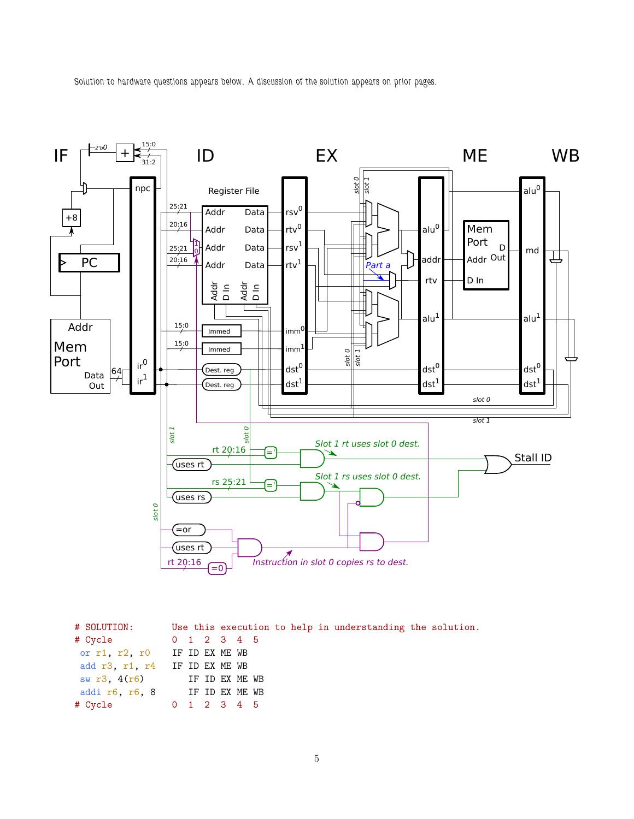



| # SOLUTION: Use this execution to help in understanding the solution. |  |  |  |  |  |  |
|-----------------------------------------------------------------------|--|--|--|--|--|--|
|                                                                       |  |  |  |  |  |  |
| or $r1$ , $r2$ , $r0$ IF ID EX ME WB                                  |  |  |  |  |  |  |
| add r3, r1, r4 IF ID EX ME WB                                         |  |  |  |  |  |  |
| $sw r3$ , $4(r6)$ IF ID EX ME WB                                      |  |  |  |  |  |  |
| addir6, r6, 8 IF ID EX ME WB                                          |  |  |  |  |  |  |
|                                                                       |  |  |  |  |  |  |
|                                                                       |  |  |  |  |  |  |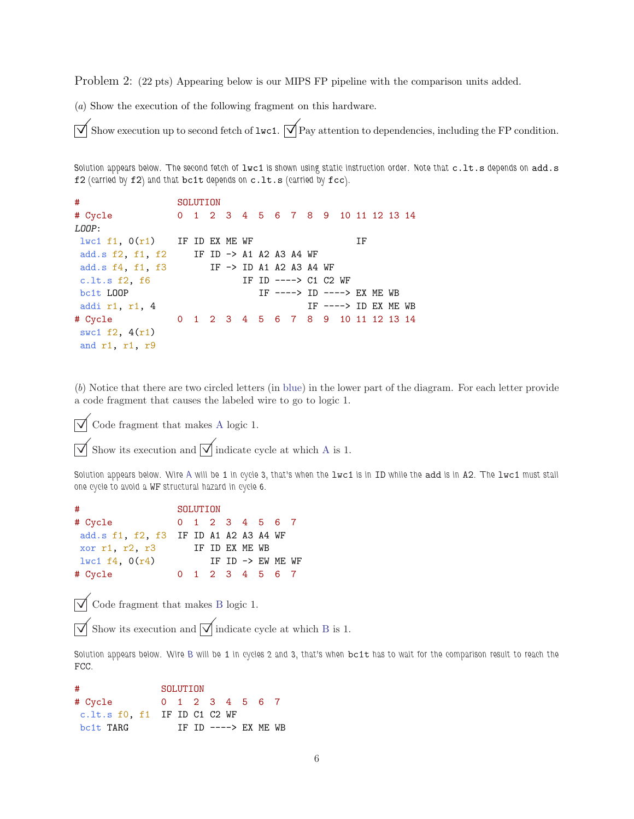Problem 2: (22 pts) Appearing below is our MIPS FP pipeline with the comparison units added.

(a) Show the execution of the following fragment on this hardware.

```
\sqrt{\phantom{a}} Show execution up to second fetch of lwc1. \sqrt{\phantom{a}} Pay attention to dependencies, including the FP condition.
```
Solution appears below. The second fetch of lwc1 is shown using static instruction order. Note that c.lt.s depends on add.s f2 (carried by f2) and that bc1t depends on c.lt.s (carried by fcc).

```
# SOLUTION
# Cycle 0 1 2 3 4 5 6 7 8 9 10 11 12 13 14
LOOP:
lwc1 f1, 0(r1) IF ID EX ME WF IF
add.s f2, f1, f2 IF ID -> A1 A2 A3 A4 WF
add.s f4, f1, f3 IF -> ID A1 A2 A3 A4 WF
c.lt.s f2, f6 IF ID ----> C1 C2 WF
bc1t LOOP IF ----> ID ----> EX ME WB
addi r1, r1, 4 IF ----> ID EX ME WB
# Cycle 0 1 2 3 4 5 6 7 8 9 10 11 12 13 14
swc1 f2, 4(r1)
and r1, r1, r9
```
(b) Notice that there are two circled letters (in blue) in the lower part of the diagram. For each letter provide a code fragment that causes the labeled wire to go to logic 1.

 $\triangledown$  Code fragment that makes A logic 1.

Show its execution and  $\overrightarrow{\bigvee}$  indicate cycle at which A is 1.

Solution appears below. Wire A will be 1 in cycle 3, that's when the lwc1 is in ID while the add is in A2. The lwc1 must stall one cycle to avoid a WF structural hazard in cycle 6.

| #                                     | SOLUTION |  |  |                              |  |  |  |  |  |  |  |  |
|---------------------------------------|----------|--|--|------------------------------|--|--|--|--|--|--|--|--|
| # Cycle                               |          |  |  | 0 1 2 3 4 5 6 7              |  |  |  |  |  |  |  |  |
| add.s f1, f2, f3 IF ID A1 A2 A3 A4 WF |          |  |  |                              |  |  |  |  |  |  |  |  |
| xor r1, r2, r3                        |          |  |  | IF ID EX ME WB               |  |  |  |  |  |  |  |  |
| $1$ wc1 f4, $0(r4)$                   |          |  |  | IF ID $\rightarrow$ EW ME WF |  |  |  |  |  |  |  |  |
| # Cycle                               |          |  |  | 0 1 2 3 4 5 6 7              |  |  |  |  |  |  |  |  |

 $\triangledown$  Code fragment that makes B logic 1.

Show its execution and  $\overline{\vee}$  indicate cycle at which B is 1.

Solution appears below. Wire B will be 1 in cycles 2 and 3, that's when bc1t has to wait for the comparison result to reach the FCC.

| #                            | SOLUTION |  |                        |  |  |
|------------------------------|----------|--|------------------------|--|--|
| # Cycle                      |          |  | 0 1 2 3 4 5 6 7        |  |  |
| c.lt.s f0, f1 IF ID C1 C2 WF |          |  |                        |  |  |
| bc1t. TARG                   |          |  | IF ID $--->$ FX MF. WB |  |  |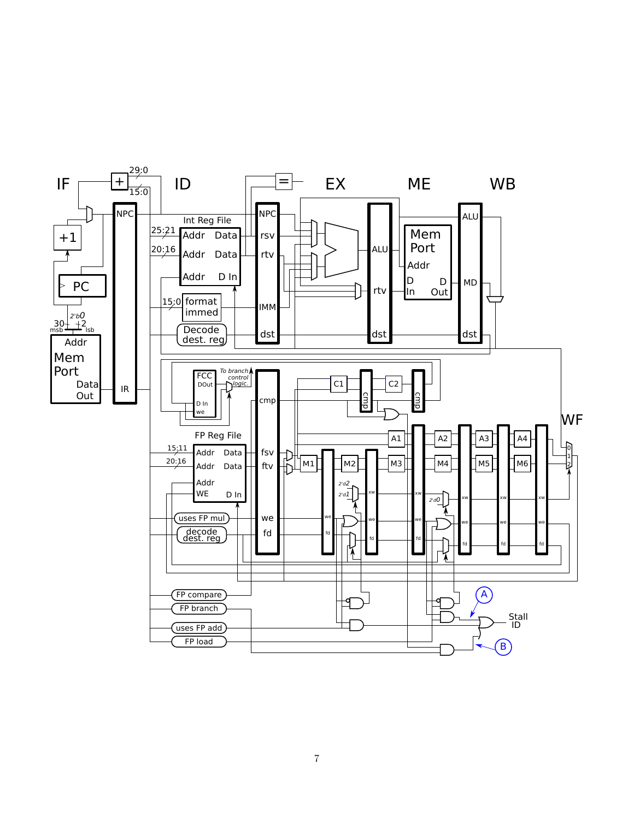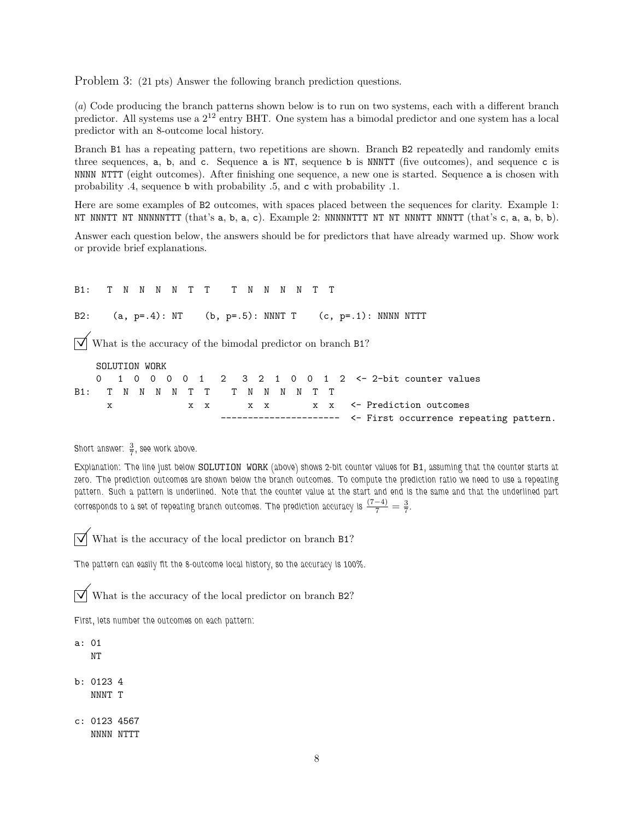Problem 3: (21 pts) Answer the following branch prediction questions.

(a) Code producing the branch patterns shown below is to run on two systems, each with a different branch predictor. All systems use a  $2^{12}$  entry BHT. One system has a bimodal predictor and one system has a local predictor with an 8-outcome local history.

Branch B1 has a repeating pattern, two repetitions are shown. Branch B2 repeatedly and randomly emits three sequences,  $a$ ,  $b$ , and  $c$ . Sequence  $a$  is NT, sequence  $b$  is NNNTT (five outcomes), and sequence  $c$  is NNNN NTTT (eight outcomes). After finishing one sequence, a new one is started. Sequence a is chosen with probability .4, sequence b with probability .5, and c with probability .1.

Here are some examples of B2 outcomes, with spaces placed between the sequences for clarity. Example 1: NT NNNTT NT NNNNNTTT (that's a, b, a, c). Example 2: NNNNNTTT NT NT NNNTT NNNTT (that's c, a, a, b, b).

Answer each question below, the answers should be for predictors that have already warmed up. Show work or provide brief explanations.

B1: T N N N N T T T N N N N T T B2:  $(a, p=.4)$ : NT  $(b, p=.5)$ : NNNT T  $(c, p=.1)$ : NNNN NTTT  $\triangledown$  What is the accuracy of the bimodal predictor on branch B1? SOLUTION WORK 0 1 0 0 0 0 1 2 3 2 1 0 0 1 2 <- 2-bit counter values B1: T N N N N T T T N N N N T T x x x x x x x x <- Prediction outcomes -------- <- First occurrence repeating pattern.

Short answer:  $\frac{3}{7}$ , see work above.

Explanation: The line just below SOLUTION WORK (above) shows 2-bit counter values for B1, assuming that the counter starts at zero. The prediction outcomes are shown below the branch outcomes. To compute the prediction ratio we need to use a repeating pattern. Such a pattern is underlined. Note that the counter value at the start and end is the same and that the underlined part corresponds to a set of repeating branch outcomes. The prediction accuracy is  $\frac{(7-4)}{7} = \frac{3}{7}$ .

 $\sqrt{\phantom{a}}$  What is the accuracy of the local predictor on branch B1?

The pattern can easily fit the 8-outcome local history, so the accuracy is 100%.

What is the accuracy of the local predictor on branch B2?

First, lets number the outcomes on each pattern:

```
a: 01
   NT
b: 0123 4
   NNNT T
c: 0123 4567
```
NNNN NTTT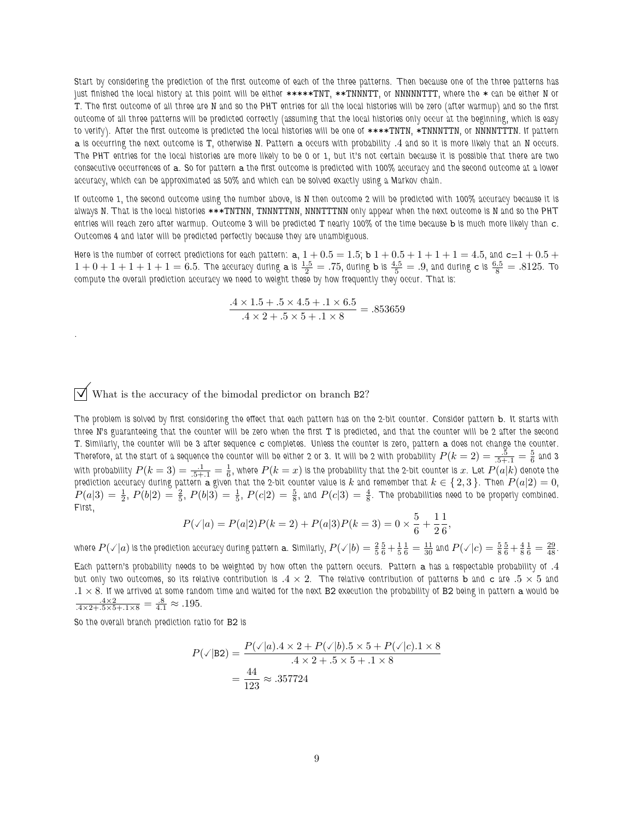Start by considering the prediction of the first outcome of each of the three patterns. Then because one of the three patterns has just finished the local history at this point will be either \*\*\*\*\*TNT, \*\*TNNNTT, or NNNNNTTT, where the \* can be either N or T. The first outcome of all three are N and so the PHT entries for all the local histories will be zero (after warmup) and so the first outcome of all three patterns will be predicted correctly (assuming that the local histories only occur at the beginning, which is easy to verify). After the first outcome is predicted the local histories will be one of \*\*\*\*TNTN, \*TNNNTTN, or NNNNTTTN. If pattern a is occurring the next outcome is T, otherwise N. Pattern a occurs with probability .4 and so it is more likely that an N occurs. The PHT entries for the local histories are more likely to be 0 or 1, but it's not certain because it is possible that there are two consecutive occurrences of a. So for pattern a the first outcome is predicted with 100% accuracy and the second outcome at a lower accuracy, which can be approximated as 50% and which can be solved exactly using a Markov chain.

If outcome 1, the second outcome using the number above, is N then outcome 2 will be predicted with 100% accuracy because it is always N. That is the local histories \*\*\*TNTNN, TNNNTTNN, NNNTTTNN only appear when the next outcome is N and so the PHT entries will reach zero after warmup. Outcome 3 will be predicted T nearly 100% of the time because b is much more likely than c. Outcomes 4 and later will be predicted perfectly because they are unambiguous.

Here is the number of correct predictions for each pattern:  $a, 1 + 0.5 = 1.5$ ;  $b 1 + 0.5 + 1 + 1 + 1 = 4.5$ , and  $c=1 + 0.5 +$  $1+0+1+1+1=6.5$ . The accuracy during a is  $\frac{1.5}{2}=.75$ , during b is  $\frac{4.5}{5}=.9$ , and during c is  $\frac{6.5}{8}=.8125$ . To compute the overall prediction accuracy we need to weight these by how frequently they occur. That is:

$$
\frac{.4 \times 1.5 + .5 \times 4.5 + .1 \times 6.5}{.4 \times 2 + .5 \times 5 + .1 \times 8} = .853659
$$

What is the accuracy of the bimodal predictor on branch B2?

The problem is solved by first considering the effect that each pattern has on the 2-bit counter. Consider pattern b. It starts with three N's guaranteeing that the counter will be zero when the first T is predicted, and that the counter will be 2 after the second T. Similarly, the counter will be 3 after sequence c completes. Unless the counter is zero, pattern a does not change the counter. Therefore, at the start of a sequence the counter will be either 2 or 3. It will be 2 with probability  $P(k=2)=\frac{5}{.5+.1}=\frac{5}{6}$  and 3 with probability  $P(k=3)=\frac{1}{.5+.1}=\frac{1}{6},$  where  $P(k=x)$  is the probability that the 2-bit counter is  $x.$  Let  $P(a|k)$  denote the prediction accuracy during pattern  ${\sf a}$  given that the 2-bit counter value is  $k$  and remember that  $k\in\set{2,3}$ . Then  $P(a|2)=0,$  $P(a|3) = \frac{1}{2}$ ,  $P(b|2) = \frac{2}{5}$ ,  $P(b|3) = \frac{1}{5}$ ,  $P(c|2) = \frac{5}{8}$ , and  $P(c|3) = \frac{4}{8}$ . The probabilities need to be properly combined. First,

$$
P(\sqrt{|a}) = P(a|2)P(k=2) + P(a|3)P(k=3) = 0 \times \frac{5}{6} + \frac{1}{2}\frac{1}{6},
$$

where  $P(\checkmark|a)$  is the prediction accuracy during pattern a. Similarly,  $P(\checkmark|b) = \frac{2}{5} \frac{5}{6} + \frac{1}{5} \frac{1}{6} = \frac{11}{30}$  and  $P(\checkmark|c) = \frac{5}{8} \frac{5}{6} + \frac{4}{8} \frac{1}{6} = \frac{29}{48}$ .

Each pattern's probability needs to be weighted by how often the pattern occurs. Pattern a has a respectable probability of .4 but only two outcomes, so its relative contribution is  $.4 \times 2$ . The relative contribution of patterns **b** and **c** are  $.5 \times 5$  and  $.1 \times 8$ . If we arrived at some random time and waited for the next B2 execution the probability of B2 being in pattern a would be  $\frac{.4 \times 2}{.4 \times 2 + .5 \times 5 + .1 \times 8} = \frac{.8}{4.1} \approx .195.$ 

So the overall branch prediction ratio for B2 is

.

$$
P(\sqrt{B2}) = \frac{P(\sqrt{a}).4 \times 2 + P(\sqrt{b}).5 \times 5 + P(\sqrt{c}).1 \times 8}{.4 \times 2 + .5 \times 5 + .1 \times 8} = \frac{44}{123} \approx .357724
$$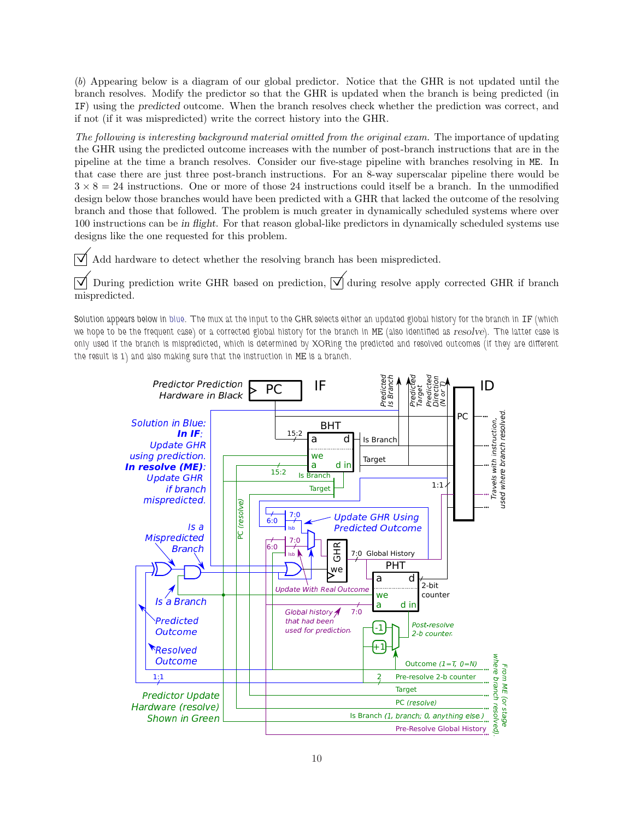(b) Appearing below is a diagram of our global predictor. Notice that the GHR is not updated until the branch resolves. Modify the predictor so that the GHR is updated when the branch is being predicted (in IF) using the predicted outcome. When the branch resolves check whether the prediction was correct, and if not (if it was mispredicted) write the correct history into the GHR.

The following is interesting background material omitted from the original exam. The importance of updating the GHR using the predicted outcome increases with the number of post-branch instructions that are in the pipeline at the time a branch resolves. Consider our five-stage pipeline with branches resolving in ME. In that case there are just three post-branch instructions. For an 8-way superscalar pipeline there would be  $3 \times 8 = 24$  instructions. One or more of those 24 instructions could itself be a branch. In the unmodified design below those branches would have been predicted with a GHR that lacked the outcome of the resolving branch and those that followed. The problem is much greater in dynamically scheduled systems where over 100 instructions can be in flight. For that reason global-like predictors in dynamically scheduled systems use designs like the one requested for this problem.

 $\triangledown$  Add hardware to detect whether the resolving branch has been mispredicted.

 $\overline{\vee}$  During prediction write GHR based on prediction,  $\overline{\vee}$  during resolve apply corrected GHR if branch mispredicted.

Solution appears below in blue. The mux at the input to the GHR selects either an updated global history for the branch in IF (which we hope to be the frequent case) or a corrected global history for the branch in ME (also identified as resolve). The latter case is only used if the branch is mispredicted, which is determined by XORing the predicted and resolved outcomes (if they are different the result is 1) and also making sure that the instruction in ME is a branch.

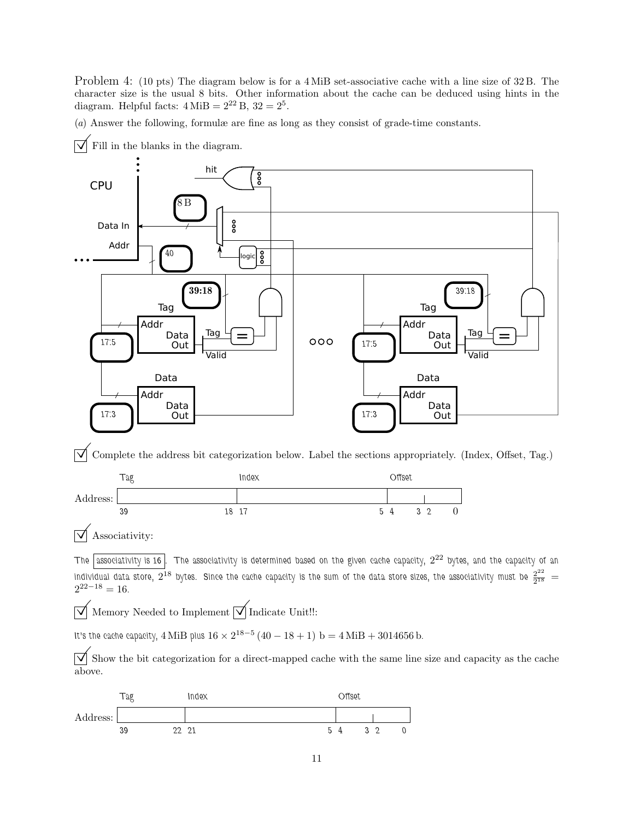Problem 4: (10 pts) The diagram below is for a 4 MiB set-associative cache with a line size of 32 B. The character size is the usual 8 bits. Other information about the cache can be deduced using hints in the diagram. Helpful facts:  $4 \text{ MiB} = 2^{22} \text{ B}$ ,  $32 = 2^5$ .

(a) Answer the following, formulæ are fine as long as they consist of grade-time constants.



 $\triangledown$  Fill in the blanks in the diagram.

 $\overrightarrow{\bigvee}$  Associativity:

The  $\lceil$  associativity is 16  $\lceil$  . The associativity is determined based on the given cache capacity,  $2^{22}$  bytes, and the capacity of an individual data store,  $2^{18}$  bytes. Since the cache capacity is the sum of the data store sizes, the associativity must be  $\frac{2^{22}}{2^{18}}$  $\frac{2^{2}}{2^{18}}$  =  $2^{22-18} = 16.$ 

 $\boxed{\bigvee}$  Memory Needed to Implement  $\boxed{\bigvee}$  Indicate Unit!!:

It's the cache capacity,  $4 \text{ MiB}$  plus  $16 \times 2^{18-5}$   $(40 - 18 + 1) \text{ b} = 4 \text{ MiB} + 3014656 \text{ b}$ .

 $\overline{\bigvee}$  Show the bit categorization for a direct-mapped cache with the same line size and capacity as the cache above.

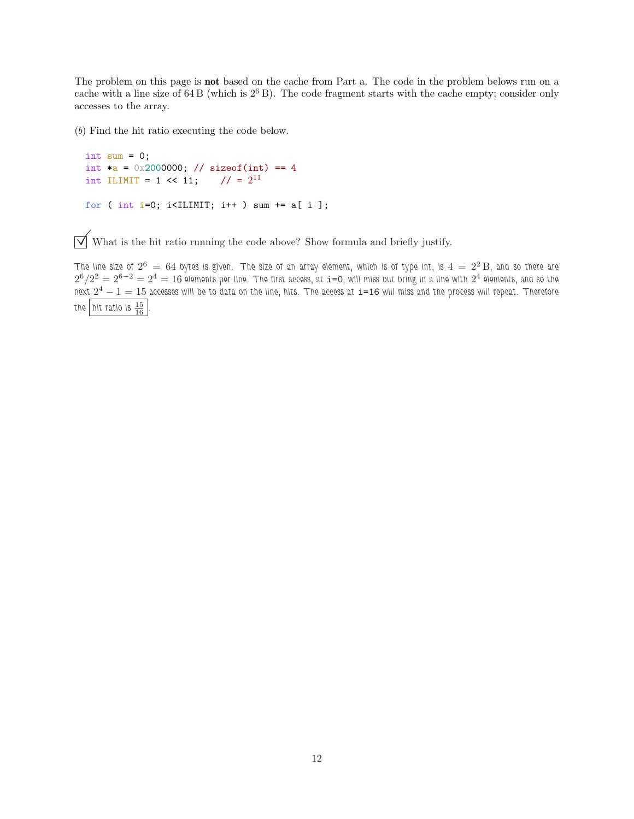The problem on this page is not based on the cache from Part a. The code in the problem belows run on a cache with a line size of  $64B$  (which is  $2<sup>6</sup>B$ ). The code fragment starts with the cache empty; consider only accesses to the array.

(b) Find the hit ratio executing the code below.

```
int sum = 0;
int *a = 0x2000000; // sizeof(int) == 4
int ILIMIT = 1 << 11; \frac{1}{2^{11}}for ( int i=0; i<ILIMIT; i++ ) sum += a[i];
```
 $\overrightarrow{\mathsf{M}}$  What is the hit ratio running the code above? Show formula and briefly justify.

The line size of  $2^6\,=\,64$  bytes is given. The size of an array element, which is of type int, is  $4\,=\,2^2\,\rm B$ , and so there are  $2^6/2^2=2^{6-2}=2^4=16$  elements per line. The first access, at  $\mathtt{i=0},$  will miss but bring in a line with  $2^4$  elements, and so the next  $2^4-1=15$  accesses will be to data on the line, hits. The access at  $\mathtt{i}=\mathtt{16}$  will miss and the process will repeat. Therefore the  $\frac{\text{hit ratio}}{16}$  is  $\frac{15}{16}$  .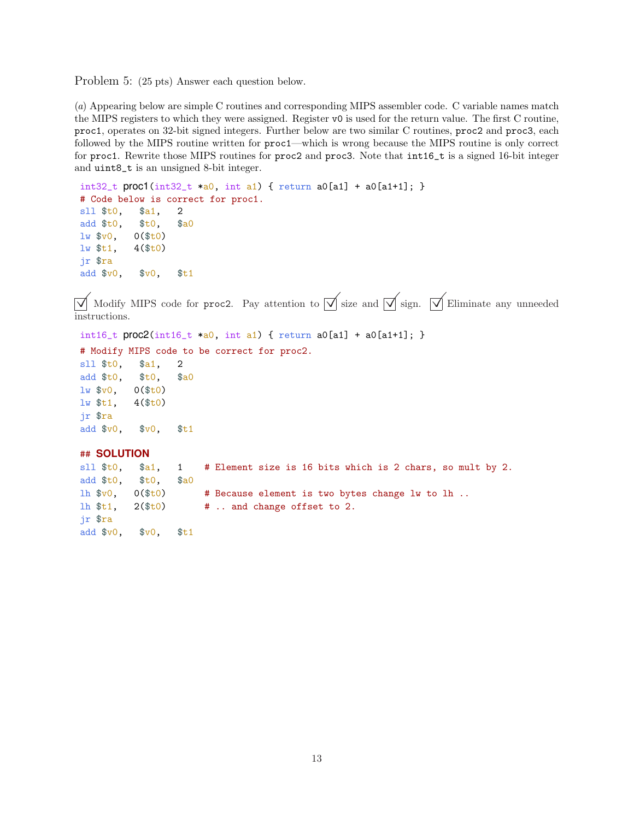Problem 5: (25 pts) Answer each question below.

(a) Appearing below are simple C routines and corresponding MIPS assembler code. C variable names match the MIPS registers to which they were assigned. Register v0 is used for the return value. The first C routine, proc1, operates on 32-bit signed integers. Further below are two similar C routines, proc2 and proc3, each followed by the MIPS routine written for proc1—which is wrong because the MIPS routine is only correct for proc1. Rewrite those MIPS routines for proc2 and proc3. Note that int16\_t is a signed 16-bit integer and uint8\_t is an unsigned 8-bit integer.

```
int32_t proc1(int32_t *a0, int a1) { return a0[a1] + a0[a1+1]; }
# Code below is correct for proc1.
sll $t0, $a1, 2
add $t0, $t0, $a0
lw $v0, 0 ($t0)lw $t1, 4($t0)
jr $ra
add $v0, $v0, $t1
```
 $\overline{\vee}$  Modify MIPS code for proc2. Pay attention to  $\overline{\vee}$  size and  $\overline{\vee}$  sign.  $\overline{\vee}$  Eliminate any unneeded instructions.

 $int16_t$  proc2( $int16_t *a0$ ,  $int a1$ ) {  $return a0[a1] + a0[a1+1]$ ; }

# Modify MIPS code to be correct for proc2.

sll \$t0, \$a1, 2 add \$t0, \$t0, \$a0  $lw$   $$v0,$   $0 ($t0)$ lw \$t1, 4(\$t0) jr \$ra add \$v0, \$v0, \$t1

## ## **SOLUTION**

|                                      |  | sll $$t0$ , $$a1$ , 1 # Element size is 16 bits which is 2 chars, so mult by 2. |
|--------------------------------------|--|---------------------------------------------------------------------------------|
| add $$t0,$ $$t0,$ $$a0$              |  |                                                                                 |
| $1h \, \text{$v0}, \, 0(\text{$t0})$ |  | # Because element is two bytes change lw to lh                                  |
| $1h$ $$t1$ , $2 ($t0)$               |  | #  and change offset to 2.                                                      |
| ir \$ra                              |  |                                                                                 |
| add $$v0,$ $$v0,$ $$t1$              |  |                                                                                 |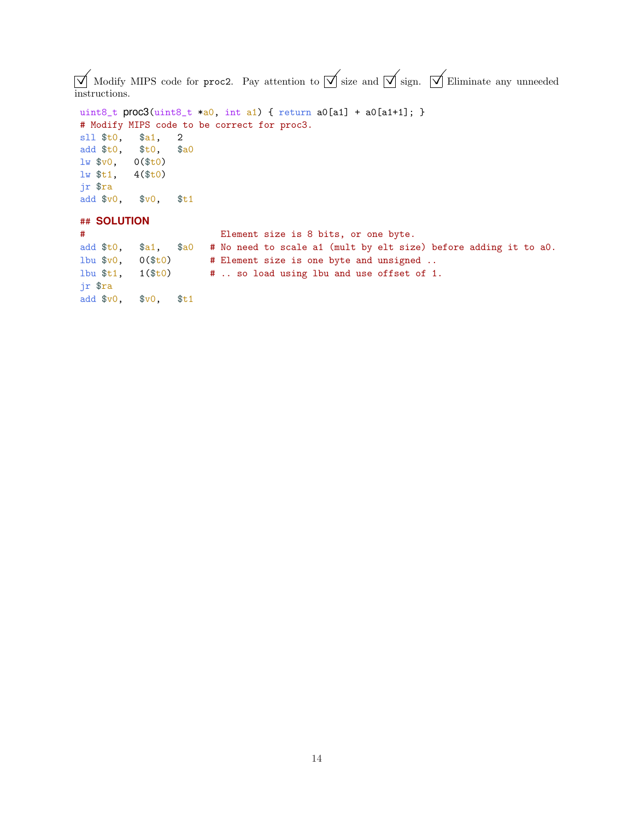$\sqrt{\phantom{a}}$  Modify MIPS code for proc2. Pay attention to  $\sqrt{\phantom{a}}$  size and  $\sqrt{\phantom{a}}$  sign.  $\sqrt{\phantom{a}}$  Eliminate any unneeded instructions.

```
uint8_t proc3(uint8_t *a0, int a1) { return a0[a1] + a0[a1+1]; }
# Modify MIPS code to be correct for proc3.
sll $t0, $a1, 2
add $t0, $t0, $a0
lw $v0, 0($t0)
lw $t1, 4($t0)
jr $ra
add $v0, $v0, $t1
```
## ## **SOLUTION**

| #                       |               | Element size is 8 bits, or one byte.                                                       |
|-------------------------|---------------|--------------------------------------------------------------------------------------------|
|                         |               | add $$t0$ , $$a1$ , $$a0$ # No need to scale a1 (mult by elt size) before adding it to a0. |
| $1bu$ $$v0$ .           | $0$ (\$t $0)$ | # Element size is one byte and unsigned                                                    |
| $1bu$ $$t1$ , $1 ($t0)$ |               | #  so load using lbu and use offset of 1.                                                  |
| ir \$ra                 |               |                                                                                            |
| add $$v0,$ $$v0,$ $$t1$ |               |                                                                                            |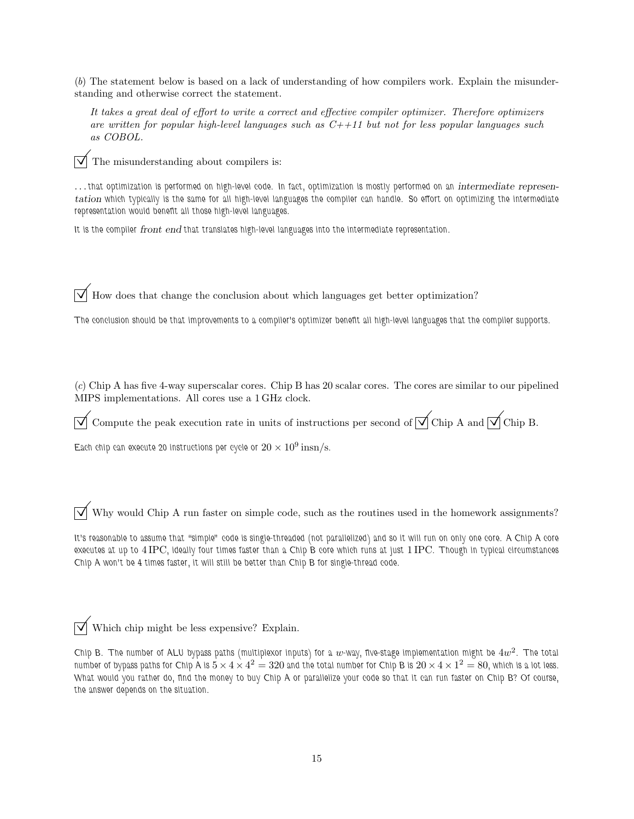(b) The statement below is based on a lack of understanding of how compilers work. Explain the misunderstanding and otherwise correct the statement.

It takes a great deal of effort to write a correct and effective compiler optimizer. Therefore optimizers are written for popular high-level languages such as  $C++11$  but not for less popular languages such as COBOL.

The misunderstanding about compilers is:

... that optimization is performed on high-level code. In fact, optimization is mostly performed on an intermediate representation which typically is the same for all high-level languages the compiler can handle. So effort on optimizing the intermediate representation would benefit all those high-level languages.

It is the compiler *front end* that translates high-level languages into the intermediate representation.

How does that change the conclusion about which languages get better optimization?

The conclusion should be that improvements to a compiler's optimizer benefit all high-level languages that the compiler supports.

(c) Chip A has five 4-way superscalar cores. Chip B has 20 scalar cores. The cores are similar to our pipelined MIPS implementations. All cores use a 1 GHz clock.

Compute the peak execution rate in units of instructions per second of  $\sqrt{\frac{1}{\text{Chip A}}}$  and  $\sqrt{\frac{1}{\text{Chip B}}}$ .

Each chip can execute 20 instructions per cycle or  $20\times 10^9\,\mathrm{insn/s}.$ 

 $\overline{\mathcal{A}}$  Why would Chip A run faster on simple code, such as the routines used in the homework assignments?

It's reasonable to assume that "simple" code is single-threaded (not parallelized) and so it will run on only one core. A Chip A core executes at up to 4 IPC, ideally four times faster than a Chip B core which runs at just 1 IPC. Though in typical circumstances Chip A won't be 4 times faster, it will still be better than Chip B for single-thread code.

Which chip might be less expensive? Explain.

Chip B. The number of ALU bypass paths (multiplexor inputs) for a  $w$ -way, flve-stage implementation might be  $4w^2$ . The total number of bypass paths for Chip A is  $5\times 4\times 4^2=320$  and the total number for Chip B is  $20\times 4\times 1^2=80,$  which is a lot less. What would you rather do, find the money to buy Chip A or parallelize your code so that it can run faster on Chip B? Of course, the answer depends on the situation.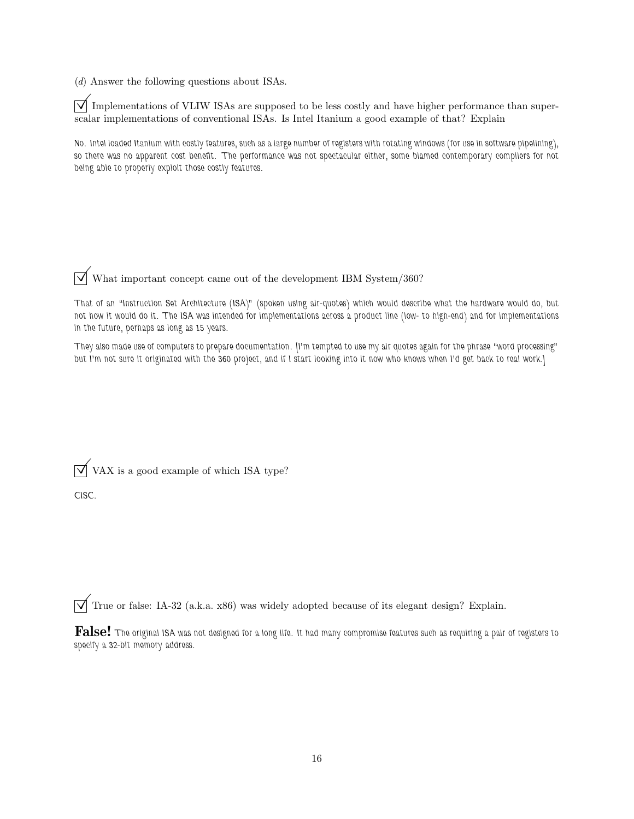(d) Answer the following questions about ISAs.

 $\overline{\vee}$  Implementations of VLIW ISAs are supposed to be less costly and have higher performance than superscalar implementations of conventional ISAs. Is Intel Itanium a good example of that? Explain

No. Intel loaded Itanium with costly features, such as a large number of registers with rotating windows (for use in software pipelining), so there was no apparent cost benefit. The performance was not spectacular either, some blamed contemporary compilers for not being able to properly exploit those costly features.

 $\overrightarrow{\mathcal{A}}$  What important concept came out of the development IBM System/360?

That of an "Instruction Set Architecture (ISA)" (spoken using air-quotes) which would describe what the hardware would do, but not how it would do it. The ISA was intended for implementations across a product line (low- to high-end) and for implementations in the future, perhaps as long as 15 years.

They also made use of computers to prepare documentation. [I'm tempted to use my air quotes again for the phrase "word processing" but I'm not sure it originated with the 360 project, and if I start looking into it now who knows when I'd get back to real work.]

 $\sqrt{\sqrt{VAX}}$  is a good example of which ISA type?

CISC.

 $\overline{\sqrt{\ }}$  True or false: IA-32 (a.k.a. x86) was widely adopted because of its elegant design? Explain.

False! The original ISA was not designed for a long life. It had many compromise features such as requiring a pair of registers to specify a 32-bit memory address.